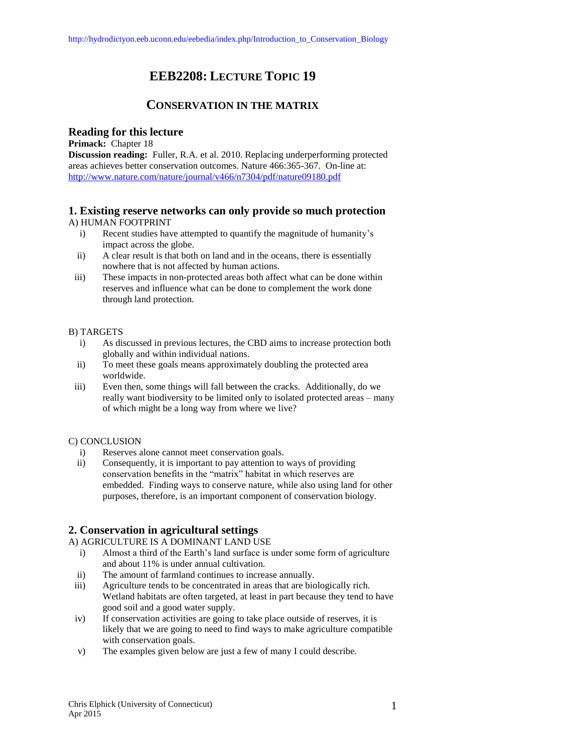# **EEB2208: LECTURE TOPIC 19**

## **CONSERVATION IN THE MATRIX**

## **Reading for this lecture**

**Primack:** Chapter 18 **Discussion reading:** Fuller, R.A. et al. 2010. Replacing underperforming protected areas achieves better conservation outcomes. Nature 466:365-367. On-line at: <http://www.nature.com/nature/journal/v466/n7304/pdf/nature09180.pdf>

## **1. Existing reserve networks can only provide so much protection**

## A) HUMAN FOOTPRINT

- i) Recent studies have attempted to quantify the magnitude of humanity's impact across the globe.
- ii) A clear result is that both on land and in the oceans, there is essentially nowhere that is not affected by human actions.
- iii) These impacts in non-protected areas both affect what can be done within reserves and influence what can be done to complement the work done through land protection.

## B) TARGETS

- i) As discussed in previous lectures, the CBD aims to increase protection both globally and within individual nations.
- ii) To meet these goals means approximately doubling the protected area worldwide.
- iii) Even then, some things will fall between the cracks. Additionally, do we really want biodiversity to be limited only to isolated protected areas – many of which might be a long way from where we live?

## C) CONCLUSION

- i) Reserves alone cannot meet conservation goals.
- ii) Consequently, it is important to pay attention to ways of providing conservation benefits in the "matrix" habitat in which reserves are embedded. Finding ways to conserve nature, while also using land for other purposes, therefore, is an important component of conservation biology.

## **2. Conservation in agricultural settings**

## A) AGRICULTURE IS A DOMINANT LAND USE

- i) Almost a third of the Earth's land surface is under some form of agriculture and about 11% is under annual cultivation.
- ii) The amount of farmland continues to increase annually.
- iii) Agriculture tends to be concentrated in areas that are biologically rich. Wetland habitats are often targeted, at least in part because they tend to have good soil and a good water supply.
- iv) If conservation activities are going to take place outside of reserves, it is likely that we are going to need to find ways to make agriculture compatible with conservation goals.
- v) The examples given below are just a few of many I could describe.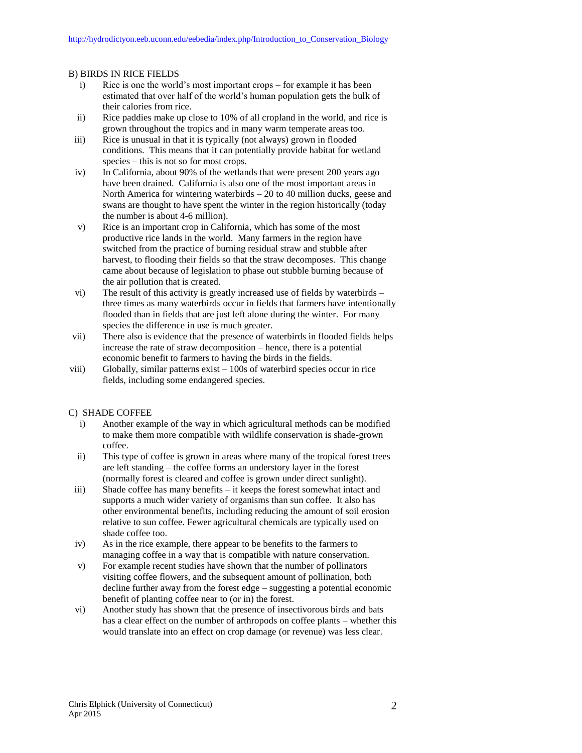#### B) BIRDS IN RICE FIELDS

- i) Rice is one the world's most important crops for example it has been estimated that over half of the world's human population gets the bulk of their calories from rice.
- ii) Rice paddies make up close to 10% of all cropland in the world, and rice is grown throughout the tropics and in many warm temperate areas too.
- iii) Rice is unusual in that it is typically (not always) grown in flooded conditions. This means that it can potentially provide habitat for wetland species – this is not so for most crops.
- iv) In California, about 90% of the wetlands that were present 200 years ago have been drained. California is also one of the most important areas in North America for wintering waterbirds – 20 to 40 million ducks, geese and swans are thought to have spent the winter in the region historically (today the number is about 4-6 million).
- v) Rice is an important crop in California, which has some of the most productive rice lands in the world. Many farmers in the region have switched from the practice of burning residual straw and stubble after harvest, to flooding their fields so that the straw decomposes. This change came about because of legislation to phase out stubble burning because of the air pollution that is created.
- vi) The result of this activity is greatly increased use of fields by waterbirds three times as many waterbirds occur in fields that farmers have intentionally flooded than in fields that are just left alone during the winter. For many species the difference in use is much greater.
- vii) There also is evidence that the presence of waterbirds in flooded fields helps increase the rate of straw decomposition – hence, there is a potential economic benefit to farmers to having the birds in the fields.
- viii) Globally, similar patterns exist 100s of waterbird species occur in rice fields, including some endangered species.

#### C) SHADE COFFEE

- i) Another example of the way in which agricultural methods can be modified to make them more compatible with wildlife conservation is shade-grown coffee.
- ii) This type of coffee is grown in areas where many of the tropical forest trees are left standing – the coffee forms an understory layer in the forest (normally forest is cleared and coffee is grown under direct sunlight).
- iii) Shade coffee has many benefits it keeps the forest somewhat intact and supports a much wider variety of organisms than sun coffee. It also has other environmental benefits, including reducing the amount of soil erosion relative to sun coffee. Fewer agricultural chemicals are typically used on shade coffee too.
- iv) As in the rice example, there appear to be benefits to the farmers to managing coffee in a way that is compatible with nature conservation.
- v) For example recent studies have shown that the number of pollinators visiting coffee flowers, and the subsequent amount of pollination, both decline further away from the forest edge – suggesting a potential economic benefit of planting coffee near to (or in) the forest.
- vi) Another study has shown that the presence of insectivorous birds and bats has a clear effect on the number of arthropods on coffee plants – whether this would translate into an effect on crop damage (or revenue) was less clear.